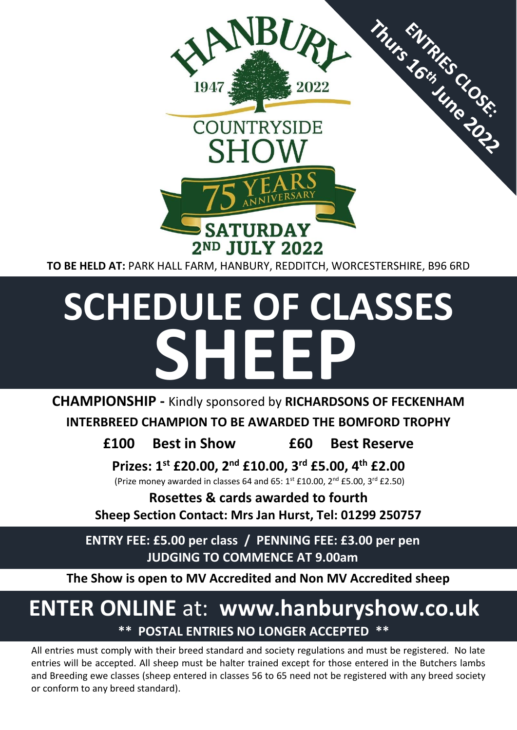

**SCHEDULE OF CLASSES**  $\overline{\phantom{0}}$ **SHEEP**

**CHAMPIONSHIP -** Kindly sponsored by **RICHARDSONS OF FECKENHAM**

**INTERBREED CHAMPION TO BE AWARDED THE BOMFORD TROPHY**

**£100 Best in Show £60 Best Reserve**

**Prizes: 1st £20.00, 2nd £10.00, 3rd £5.00, 4th £2.00**

(Prize money awarded in classes 64 and 65:  $1^{st}$  £10.00,  $2^{nd}$  £5.00,  $3^{rd}$  £2.50)

**Rosettes & cards awarded to fourth**

**Sheep Section Contact: Mrs Jan Hurst, Tel: 01299 250757**

**ENTRY FEE: £5.00 per class / PENNING FEE: £3.00 per pen JUDGING TO COMMENCE AT 9.00am**

**The Show is open to MV Accredited and Non MV Accredited sheep**

# **ENTER ONLINE** at: **www.hanburyshow.co.uk \*\* POSTAL ENTRIES NO LONGER ACCEPTED \*\***

All entries must comply with their breed standard and society regulations and must be registered. No late entries will be accepted. All sheep must be halter trained except for those entered in the Butchers lambs and Breeding ewe classes (sheep entered in classes 56 to 65 need not be registered with any breed society or conform to any breed standard).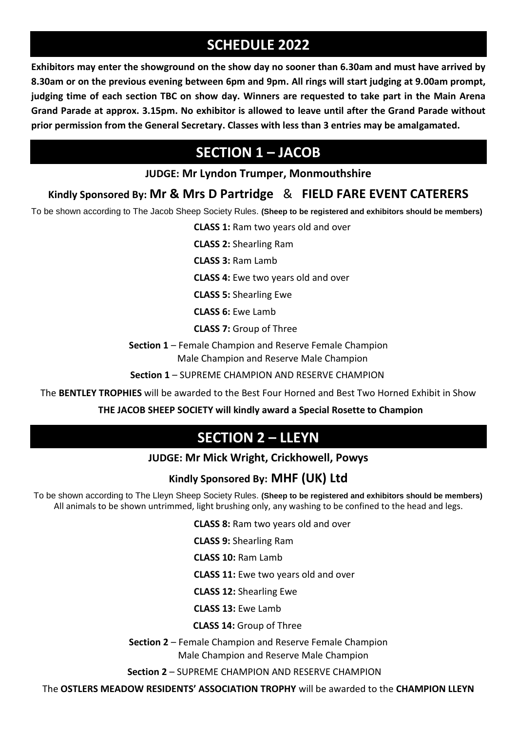# **SCHEDULE 2022**

**Exhibitors may enter the showground on the show day no sooner than 6.30am and must have arrived by 8.30am or on the previous evening between 6pm and 9pm. All rings will start judging at 9.00am prompt, judging time of each section TBC on show day. Winners are requested to take part in the Main Arena Grand Parade at approx. 3.15pm. No exhibitor is allowed to leave until after the Grand Parade without prior permission from the General Secretary. Classes with less than 3 entries may be amalgamated.**

# **SECTION 1 – JACOB**

### **JUDGE: Mr Lyndon Trumper, Monmouthshire**

### **Kindly Sponsored By: Mr & Mrs D Partridge** & **FIELD FARE EVENT CATERERS**

To be shown according to The Jacob Sheep Society Rules. **(Sheep to be registered and exhibitors should be members)**

**CLASS 1:** Ram two years old and over

**CLASS 2:** Shearling Ram

**CLASS 3:** Ram Lamb

 **CLASS 4:** Ewe two years old and over

**CLASS 5:** Shearling Ewe

**CLASS 6:** Ewe Lamb

**CLASS 7:** Group of Three

**Section 1** – Female Champion and Reserve Female Champion Male Champion and Reserve Male Champion

**Section 1** – SUPREME CHAMPION AND RESERVE CHAMPION

The **BENTLEY TROPHIES** will be awarded to the Best Four Horned and Best Two Horned Exhibit in Show

 **THE JACOB SHEEP SOCIETY will kindly award a Special Rosette to Champion**

## **SECTION 2 – LLEYN**

#### **JUDGE: Mr Mick Wright, Crickhowell, Powys**

#### **Kindly Sponsored By: MHF (UK) Ltd**

To be shown according to The Lleyn Sheep Society Rules. **(Sheep to be registered and exhibitors should be members)** All animals to be shown untrimmed, light brushing only, any washing to be confined to the head and legs.

**CLASS 8:** Ram two years old and over

**CLASS 9:** Shearling Ram

**CLASS 10:** Ram Lamb

**CLASS 11:** Ewe two years old and over

**CLASS 12:** Shearling Ewe

**CLASS 13:** Ewe Lamb

**CLASS 14:** Group of Three

 **Section 2** – Female Champion and Reserve Female Champion Male Champion and Reserve Male Champion

 **Section 2** – SUPREME CHAMPION AND RESERVE CHAMPION

The **OSTLERS MEADOW RESIDENTS' ASSOCIATION TROPHY** will be awarded to the **CHAMPION LLEYN**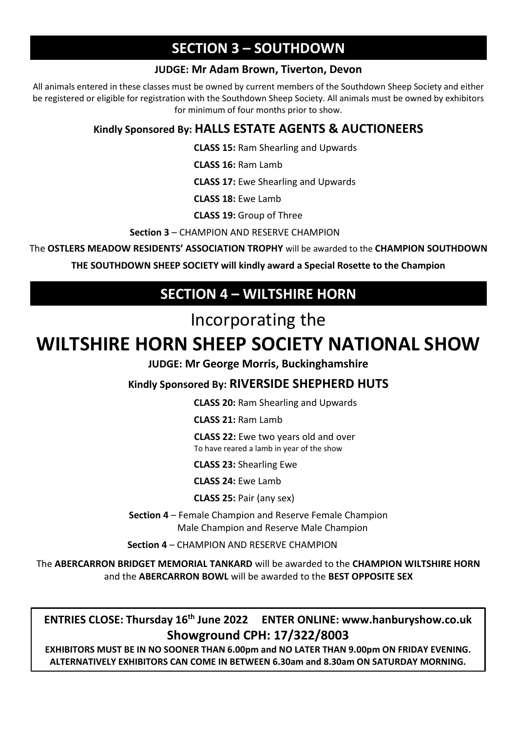# **SECTION 3 – SOUTHDOWN**

#### **JUDGE: Mr Adam Brown, Tiverton, Devon**

All animals entered in these classes must be owned by current members of the Southdown Sheep Society and either be registered or eligible for registration with the Southdown Sheep Society. All animals must be owned by exhibitors for minimum of four months prior to show.

### **Kindly Sponsored By: HALLS ESTATE AGENTS & AUCTIONEERS**

**CLASS 15:** Ram Shearling and Upwards

**CLASS 16:** Ram Lamb

**CLASS 17:** Ewe Shearling and Upwards

**CLASS 18:** Ewe Lamb

 **CLASS 19:** Group of Three

**Section 3** – CHAMPION AND RESERVE CHAMPION

The **OSTLERS MEADOW RESIDENTS' ASSOCIATION TROPHY** will be awarded to the **CHAMPION SOUTHDOWN**

**THE SOUTHDOWN SHEEP SOCIETY will kindly award a Special Rosette to the Champion** 

# **SECTION 4 – WILTSHIRE HORN**

# Incorporating the

# **WILTSHIRE HORN SHEEP SOCIETY NATIONAL SHOW**

**JUDGE: Mr George Morris, Buckinghamshire** 

**Kindly Sponsored By: RIVERSIDE SHEPHERD HUTS** 

**CLASS 20:** Ram Shearling and Upwards

**CLASS 21:** Ram Lamb

**CLASS 22:** Ewe two years old and over To have reared a lamb in year of the show

**CLASS 23:** Shearling Ewe

**CLASS 24:** Ewe Lamb

**CLASS 25:** Pair (any sex)

**Section 4** – Female Champion and Reserve Female Champion Male Champion and Reserve Male Champion

**Section 4** – CHAMPION AND RESERVE CHAMPION

The **ABERCARRON BRIDGET MEMORIAL TANKARD** will be awarded to the **CHAMPION WILTSHIRE HORN**  and the **ABERCARRON BOWL** will be awarded to the **BEST OPPOSITE SEX**

**ENTRIES CLOSE: Thursday 16th June 2022 ENTER ONLINE: www.hanburyshow.co.uk Showground CPH: 17/322/8003**

**EXHIBITORS MUST BE IN NO SOONER THAN 6.00pm and NO LATER THAN 9.00pm ON FRIDAY EVENING. ALTERNATIVELY EXHIBITORS CAN COME IN BETWEEN 6.30am and 8.30am ON SATURDAY MORNING.**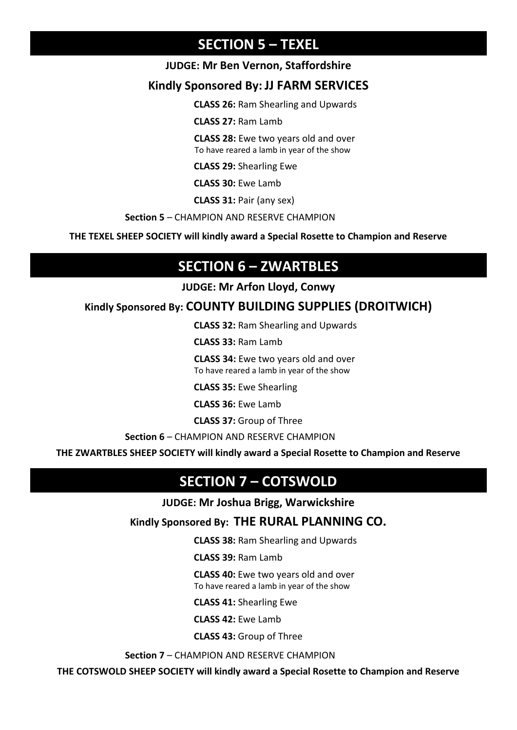### **SECTION 5 – TEXEL**

#### **JUDGE: Mr Ben Vernon, Staffordshire**

### **Kindly Sponsored By: JJ FARM SERVICES**

**CLASS 26:** Ram Shearling and Upwards

**CLASS 27:** Ram Lamb

**CLASS 28:** Ewe two years old and over To have reared a lamb in year of the show

**CLASS 29:** Shearling Ewe

**CLASS 30:** Ewe Lamb

**CLASS 31:** Pair (any sex)

**Section 5** – CHAMPION AND RESERVE CHAMPION

**THE TEXEL SHEEP SOCIETY will kindly award a Special Rosette to Champion and Reserve** 

## **SECTION 6 – ZWARTBLES**

**JUDGE: Mr Arfon Lloyd, Conwy**

### **Kindly Sponsored By: COUNTY BUILDING SUPPLIES (DROITWICH)**

**CLASS 32:** Ram Shearling and Upwards

**CLASS 33:** Ram Lamb

**CLASS 34:** Ewe two years old and over To have reared a lamb in year of the show

**CLASS 35:** Ewe Shearling

**CLASS 36:** Ewe Lamb

**CLASS 37:** Group of Three

**Section 6** – CHAMPION AND RESERVE CHAMPION

**THE ZWARTBLES SHEEP SOCIETY will kindly award a Special Rosette to Champion and Reserve** 

## **SECTION 7 – COTSWOLD**

**JUDGE: Mr Joshua Brigg, Warwickshire**

**Kindly Sponsored By: THE RURAL PLANNING CO.**

**CLASS 38:** Ram Shearling and Upwards

**CLASS 39:** Ram Lamb

 **CLASS 40:** Ewe two years old and over To have reared a lamb in year of the show

**CLASS 41:** Shearling Ewe

**CLASS 42:** Ewe Lamb

**CLASS 43:** Group of Three

**Section 7** – CHAMPION AND RESERVE CHAMPION

**THE COTSWOLD SHEEP SOCIETY will kindly award a Special Rosette to Champion and Reserve**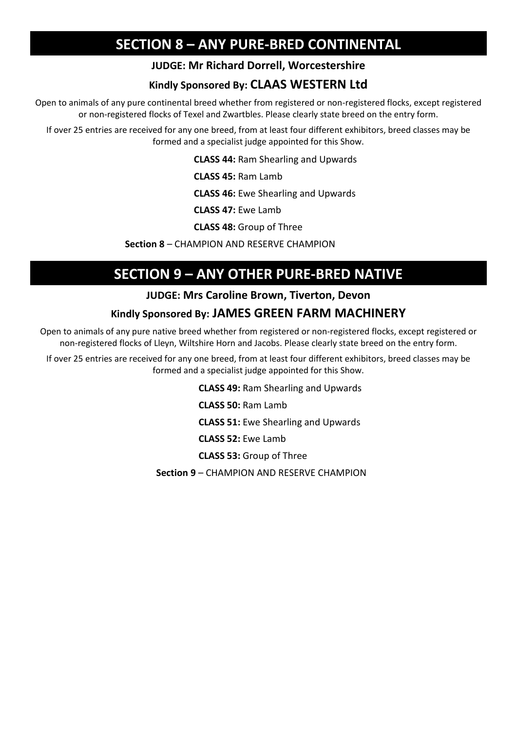## **SECTION 8 – ANY PURE-BRED CONTINENTAL**

#### **JUDGE: Mr Richard Dorrell, Worcestershire**

### **Kindly Sponsored By: CLAAS WESTERN Ltd**

Open to animals of any pure continental breed whether from registered or non-registered flocks, except registered or non-registered flocks of Texel and Zwartbles. Please clearly state breed on the entry form.

If over 25 entries are received for any one breed, from at least four different exhibitors, breed classes may be formed and a specialist judge appointed for this Show.

**CLASS 44:** Ram Shearling and Upwards

**CLASS 45:** Ram Lamb

**CLASS 46:** Ewe Shearling and Upwards

**CLASS 47:** Ewe Lamb

**CLASS 48:** Group of Three

**Section 8** – CHAMPION AND RESERVE CHAMPION

ı

## **SECTION 9 – ANY OTHER PURE-BRED NATIVE**

#### **JUDGE: Mrs Caroline Brown, Tiverton, Devon**

#### **Kindly Sponsored By: JAMES GREEN FARM MACHINERY**

Open to animals of any pure native breed whether from registered or non-registered flocks, except registered or non-registered flocks of Lleyn, Wiltshire Horn and Jacobs. Please clearly state breed on the entry form.

If over 25 entries are received for any one breed, from at least four different exhibitors, breed classes may be formed and a specialist judge appointed for this Show.

**CLASS 49:** Ram Shearling and Upwards

**CLASS 50:** Ram Lamb

**CLASS 51:** Ewe Shearling and Upwards

**CLASS 52:** Ewe Lamb

**CLASS 53:** Group of Three

**Section 9** – CHAMPION AND RESERVE CHAMPION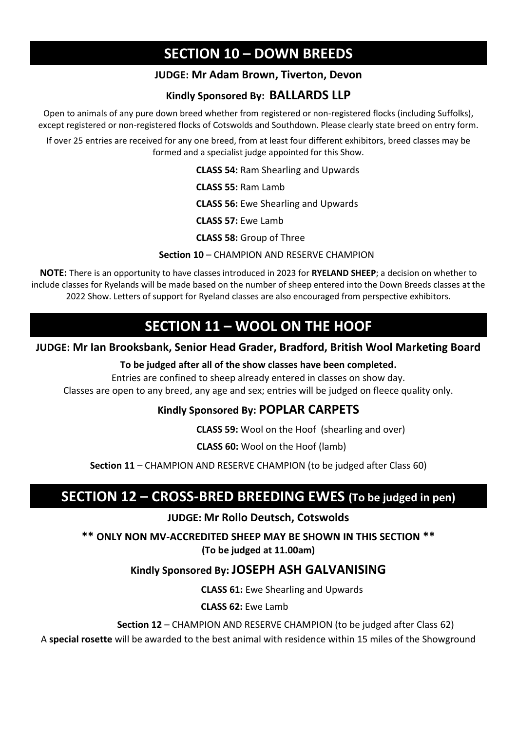## **SECTION 10 – DOWN BREEDS**

### **JUDGE: Mr Adam Brown, Tiverton, Devon**

### **Kindly Sponsored By: BALLARDS LLP**

Open to animals of any pure down breed whether from registered or non-registered flocks (including Suffolks), except registered or non-registered flocks of Cotswolds and Southdown. Please clearly state breed on entry form.

If over 25 entries are received for any one breed, from at least four different exhibitors, breed classes may be formed and a specialist judge appointed for this Show.

**CLASS 54:** Ram Shearling and Upwards

**CLASS 55:** Ram Lamb

**CLASS 56:** Ewe Shearling and Upwards

 **CLASS 57:** Ewe Lamb

**CLASS 58:** Group of Three

#### **Section 10** – CHAMPION AND RESERVE CHAMPION

**NOTE:** There is an opportunity to have classes introduced in 2023 for **RYELAND SHEEP**; a decision on whether to include classes for Ryelands will be made based on the number of sheep entered into the Down Breeds classes at the 2022 Show. Letters of support for Ryeland classes are also encouraged from perspective exhibitors.

### **SECTION 11 – WOOL ON THE HOOF**

#### **JUDGE: Mr Ian Brooksbank, Senior Head Grader, Bradford, British Wool Marketing Board**

#### **To be judged after all of the show classes have been completed.**

Entries are confined to sheep already entered in classes on show day.

Classes are open to any breed, any age and sex; entries will be judged on fleece quality only. 

#### **Kindly Sponsored By: POPLAR CARPETS**

**CLASS 59:** Wool on the Hoof (shearling and over)

 **CLASS 60:** Wool on the Hoof (lamb)

**Section 11** – CHAMPION AND RESERVE CHAMPION (to be judged after Class 60)

 $\overline{a}$ 

## **SECTION 12 – CROSS-BRED BREEDING EWES (To be judged in pen)**

#### **JUDGE: Mr Rollo Deutsch, Cotswolds**

**\*\* ONLY NON MV-ACCREDITED SHEEP MAY BE SHOWN IN THIS SECTION \*\* (To be judged at 11.00am)**

#### **Kindly Sponsored By: JOSEPH ASH GALVANISING**

**CLASS 61:** Ewe Shearling and Upwards

 **CLASS 62:** Ewe Lamb

 **Section 12** – CHAMPION AND RESERVE CHAMPION (to be judged after Class 62)

A **special rosette** will be awarded to the best animal with residence within 15 miles of the Showground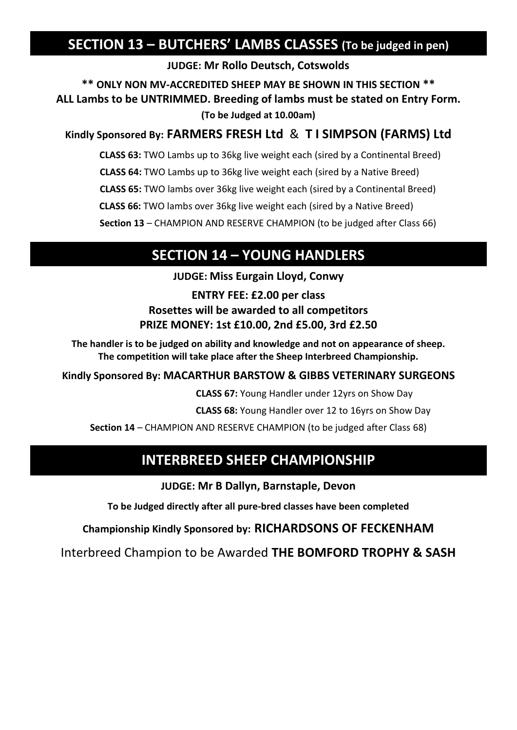## **SECTION 13 – BUTCHERS' LAMBS CLASSES (To be judged in pen)**

**JUDGE: Mr Rollo Deutsch, Cotswolds**

**\*\* ONLY NON MV-ACCREDITED SHEEP MAY BE SHOWN IN THIS SECTION \*\* ALL Lambs to be UNTRIMMED. Breeding of lambs must be stated on Entry Form. (To be Judged at 10.00am)**

### **Kindly Sponsored By: FARMERS FRESH Ltd** & **T I SIMPSON (FARMS) Ltd**

 **CLASS 63:** TWO Lambs up to 36kg live weight each (sired by a Continental Breed) **CLASS 64:** TWO Lambs up to 36kg live weight each (sired by a Native Breed) **CLASS 65:** TWO lambs over 36kg live weight each (sired by a Continental Breed)

**CLASS 66:** TWO lambs over 36kg live weight each (sired by a Native Breed)

**Section 13** – CHAMPION AND RESERVE CHAMPION (to be judged after Class 66)

## **SECTION 14 – YOUNG HANDLERS**

**JUDGE: Miss Eurgain Lloyd, Conwy**

**ENTRY FEE: £2.00 per class Rosettes will be awarded to all competitors PRIZE MONEY: 1st £10.00, 2nd £5.00, 3rd £2.50**

**The handler is to be judged on ability and knowledge and not on appearance of sheep. The competition will take place after the Sheep Interbreed Championship.**

### **Kindly Sponsored By: MACARTHUR BARSTOW & GIBBS VETERINARY SURGEONS**

**CLASS 67:** Young Handler under 12yrs on Show Day

**CLASS 68:** Young Handler over 12 to 16yrs on Show Day

**Section 14** – CHAMPION AND RESERVE CHAMPION (to be judged after Class 68)

## **INTERBREED SHEEP CHAMPIONSHIP**

**JUDGE: Mr B Dallyn, Barnstaple, Devon**

**To be Judged directly after all pure-bred classes have been completed** 

### **Championship Kindly Sponsored by: RICHARDSONS OF FECKENHAM**

Interbreed Champion to be Awarded **THE BOMFORD TROPHY & SASH**